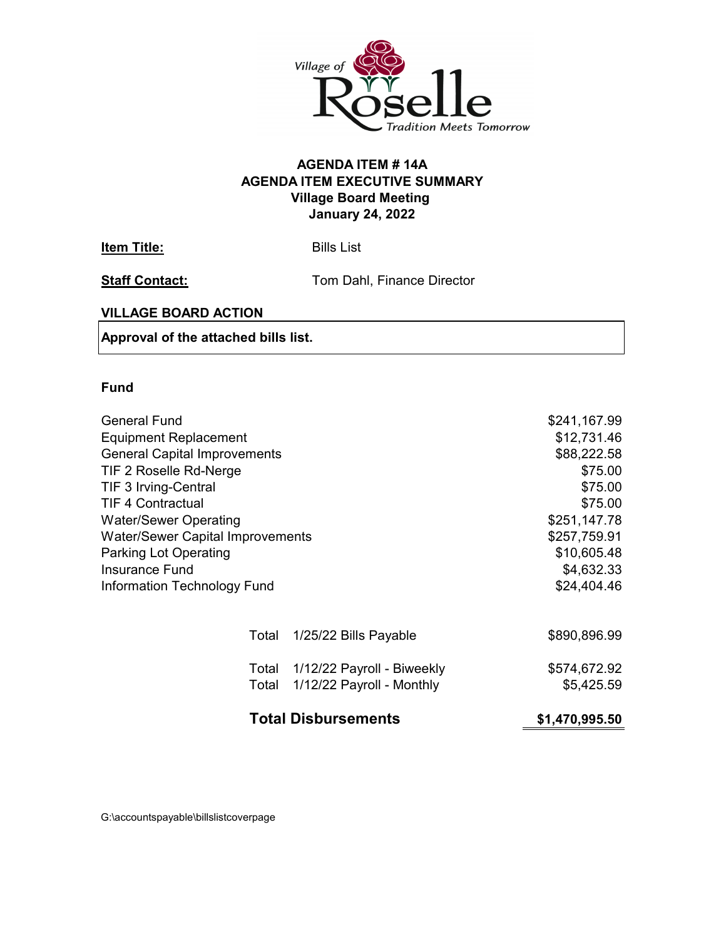

## **AGENDA ITEM EXECUTIVE SUMMARY Village Board Meeting January 24, 2022 AGENDA ITEM # 14A**

**Item Title:** Bills List

**Staff Contact:** Tom Dahl, Finance Director

## **VILLAGE BOARD ACTION**

**Approval of the attached bills list.**

## **Fund**

|                                                                                                                                                                                                                                                                                                                      | <b>Total Disbursements</b>                                    | \$1,470,995.50                                                                                                                          |
|----------------------------------------------------------------------------------------------------------------------------------------------------------------------------------------------------------------------------------------------------------------------------------------------------------------------|---------------------------------------------------------------|-----------------------------------------------------------------------------------------------------------------------------------------|
| Total                                                                                                                                                                                                                                                                                                                | Total 1/12/22 Payroll - Biweekly<br>1/12/22 Payroll - Monthly | \$574,672.92<br>\$5,425.59                                                                                                              |
| Total                                                                                                                                                                                                                                                                                                                | 1/25/22 Bills Payable                                         | \$890,896.99                                                                                                                            |
| <b>Equipment Replacement</b><br><b>General Capital Improvements</b><br>TIF 2 Roselle Rd-Nerge<br>TIF 3 Irving-Central<br><b>TIF 4 Contractual</b><br><b>Water/Sewer Operating</b><br><b>Water/Sewer Capital Improvements</b><br><b>Parking Lot Operating</b><br><b>Insurance Fund</b><br>Information Technology Fund |                                                               | \$12,731.46<br>\$88,222.58<br>\$75.00<br>\$75.00<br>\$75.00<br>\$251,147.78<br>\$257,759.91<br>\$10,605.48<br>\$4,632.33<br>\$24,404.46 |
| <b>General Fund</b>                                                                                                                                                                                                                                                                                                  |                                                               | \$241,167.99                                                                                                                            |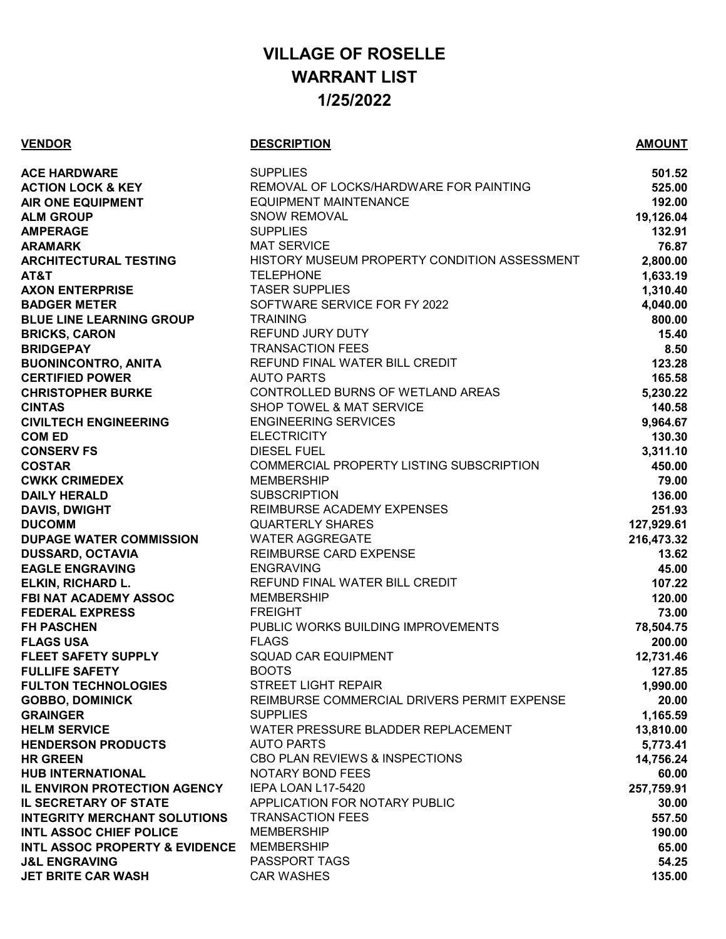## **VILLAGE OF ROSELLE WARRANT LIST 1/25/2022**

## **VENDOR DESCRIPTION AMOUNT**

| <b>ACE HARDWARE</b>                       | <b>SUPPLIES</b>                              | 501.52     |
|-------------------------------------------|----------------------------------------------|------------|
| <b>ACTION LOCK &amp; KEY</b>              | REMOVAL OF LOCKS/HARDWARE FOR PAINTING       | 525.00     |
| <b>AIR ONE EQUIPMENT</b>                  | <b>EQUIPMENT MAINTENANCE</b>                 | 192.00     |
| <b>ALM GROUP</b>                          | <b>SNOW REMOVAL</b>                          | 19,126.04  |
| <b>AMPERAGE</b>                           | <b>SUPPLIES</b>                              | 132.91     |
| <b>ARAMARK</b>                            | <b>MAT SERVICE</b>                           | 76.87      |
| <b>ARCHITECTURAL TESTING</b>              | HISTORY MUSEUM PROPERTY CONDITION ASSESSMENT | 2,800.00   |
| AT&T                                      | <b>TELEPHONE</b>                             | 1,633.19   |
| <b>AXON ENTERPRISE</b>                    | <b>TASER SUPPLIES</b>                        | 1,310.40   |
| <b>BADGER METER</b>                       | SOFTWARE SERVICE FOR FY 2022                 | 4,040.00   |
| <b>BLUE LINE LEARNING GROUP</b>           | <b>TRAINING</b>                              | 800.00     |
| <b>BRICKS, CARON</b>                      | <b>REFUND JURY DUTY</b>                      | 15.40      |
| <b>BRIDGEPAY</b>                          | <b>TRANSACTION FEES</b>                      | 8.50       |
| <b>BUONINCONTRO, ANITA</b>                | REFUND FINAL WATER BILL CREDIT               | 123.28     |
| <b>CERTIFIED POWER</b>                    | <b>AUTO PARTS</b>                            | 165.58     |
| <b>CHRISTOPHER BURKE</b>                  | CONTROLLED BURNS OF WETLAND AREAS            | 5,230.22   |
| <b>CINTAS</b>                             | <b>SHOP TOWEL &amp; MAT SERVICE</b>          | 140.58     |
| <b>CIVILTECH ENGINEERING</b>              | <b>ENGINEERING SERVICES</b>                  | 9,964.67   |
| <b>COM ED</b>                             | <b>ELECTRICITY</b>                           | 130.30     |
| <b>CONSERV FS</b>                         | <b>DIESEL FUEL</b>                           | 3,311.10   |
| <b>COSTAR</b>                             | COMMERCIAL PROPERTY LISTING SUBSCRIPTION     | 450.00     |
| <b>CWKK CRIMEDEX</b>                      | <b>MEMBERSHIP</b>                            | 79.00      |
| <b>DAILY HERALD</b>                       | <b>SUBSCRIPTION</b>                          | 136.00     |
| <b>DAVIS, DWIGHT</b>                      | REIMBURSE ACADEMY EXPENSES                   | 251.93     |
| <b>DUCOMM</b>                             | <b>QUARTERLY SHARES</b>                      | 127,929.61 |
| <b>DUPAGE WATER COMMISSION</b>            | <b>WATER AGGREGATE</b>                       | 216,473.32 |
| <b>DUSSARD, OCTAVIA</b>                   | REIMBURSE CARD EXPENSE                       | 13.62      |
| <b>EAGLE ENGRAVING</b>                    | <b>ENGRAVING</b>                             | 45.00      |
| <b>ELKIN, RICHARD L.</b>                  | REFUND FINAL WATER BILL CREDIT               | 107.22     |
| <b>FBI NAT ACADEMY ASSOC</b>              | <b>MEMBERSHIP</b>                            | 120.00     |
| <b>FEDERAL EXPRESS</b>                    | <b>FREIGHT</b>                               | 73.00      |
| <b>FH PASCHEN</b>                         | PUBLIC WORKS BUILDING IMPROVEMENTS           | 78,504.75  |
| <b>FLAGS USA</b>                          | <b>FLAGS</b>                                 | 200.00     |
| <b>FLEET SAFETY SUPPLY</b>                | <b>SQUAD CAR EQUIPMENT</b>                   | 12,731.46  |
| <b>FULLIFE SAFETY</b>                     | <b>BOOTS</b>                                 | 127.85     |
| <b>FULTON TECHNOLOGIES</b>                | <b>STREET LIGHT REPAIR</b>                   | 1,990.00   |
| <b>GOBBO, DOMINICK</b>                    | REIMBURSE COMMERCIAL DRIVERS PERMIT EXPENSE  | 20.00      |
| <b>GRAINGER</b>                           | <b>SUPPLIES</b>                              | 1,165.59   |
| <b>HELM SERVICE</b>                       | WATER PRESSURE BLADDER REPLACEMENT           | 13,810.00  |
| <b>HENDERSON PRODUCTS</b>                 | <b>AUTO PARTS</b>                            | 5,773.41   |
| <b>HR GREEN</b>                           | CBO PLAN REVIEWS & INSPECTIONS               | 14,756.24  |
| <b>HUB INTERNATIONAL</b>                  | <b>NOTARY BOND FEES</b>                      | 60.00      |
| <b>IL ENVIRON PROTECTION AGENCY</b>       | IEPA LOAN L17-5420                           | 257,759.91 |
| <b>IL SECRETARY OF STATE</b>              | APPLICATION FOR NOTARY PUBLIC                | 30.00      |
| <b>INTEGRITY MERCHANT SOLUTIONS</b>       | <b>TRANSACTION FEES</b>                      | 557.50     |
| <b>INTL ASSOC CHIEF POLICE</b>            | <b>MEMBERSHIP</b>                            | 190.00     |
| <b>INTL ASSOC PROPERTY &amp; EVIDENCE</b> | <b>MEMBERSHIP</b>                            | 65.00      |
| <b>J&amp;L ENGRAVING</b>                  | PASSPORT TAGS                                | 54.25      |
| <b>JET BRITE CAR WASH</b>                 | <b>CAR WASHES</b>                            | 135.00     |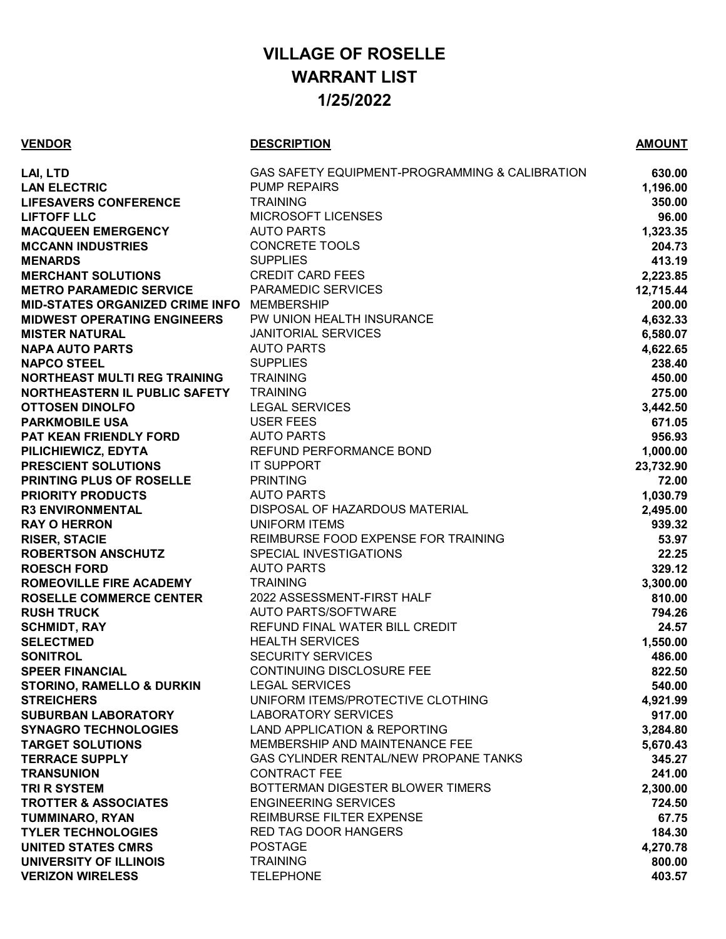## **VILLAGE OF ROSELLE WARRANT LIST 1/25/2022**

## **VENDOR DESCRIPTION AMOUNT**

| LAI, LTD                                   | GAS SAFETY EQUIPMENT-PROGRAMMING & CALIBRATION | 630.00    |
|--------------------------------------------|------------------------------------------------|-----------|
| <b>LAN ELECTRIC</b>                        | <b>PUMP REPAIRS</b>                            | 1,196.00  |
| <b>LIFESAVERS CONFERENCE</b>               | <b>TRAINING</b>                                | 350.00    |
| <b>LIFTOFF LLC</b>                         | MICROSOFT LICENSES                             | 96.00     |
| <b>MACQUEEN EMERGENCY</b>                  | <b>AUTO PARTS</b>                              | 1,323.35  |
| <b>MCCANN INDUSTRIES</b>                   | <b>CONCRETE TOOLS</b>                          | 204.73    |
| <b>MENARDS</b>                             | <b>SUPPLIES</b>                                | 413.19    |
| <b>MERCHANT SOLUTIONS</b>                  | <b>CREDIT CARD FEES</b>                        | 2,223.85  |
| <b>METRO PARAMEDIC SERVICE</b>             | <b>PARAMEDIC SERVICES</b>                      | 12,715.44 |
| MID-STATES ORGANIZED CRIME INFO MEMBERSHIP |                                                | 200.00    |
| <b>MIDWEST OPERATING ENGINEERS</b>         | PW UNION HEALTH INSURANCE                      | 4,632.33  |
| <b>MISTER NATURAL</b>                      | <b>JANITORIAL SERVICES</b>                     | 6,580.07  |
| <b>NAPA AUTO PARTS</b>                     | <b>AUTO PARTS</b>                              | 4,622.65  |
| <b>NAPCO STEEL</b>                         | <b>SUPPLIES</b>                                | 238.40    |
| NORTHEAST MULTI REG TRAINING               | <b>TRAINING</b>                                | 450.00    |
| NORTHEASTERN IL PUBLIC SAFETY              | <b>TRAINING</b>                                | 275.00    |
| <b>OTTOSEN DINOLFO</b>                     | <b>LEGAL SERVICES</b>                          | 3,442.50  |
| <b>PARKMOBILE USA</b>                      | <b>USER FEES</b>                               | 671.05    |
| PAT KEAN FRIENDLY FORD                     | <b>AUTO PARTS</b>                              | 956.93    |
| PILICHIEWICZ, EDYTA                        | REFUND PERFORMANCE BOND                        | 1,000.00  |
| PRESCIENT SOLUTIONS                        | <b>IT SUPPORT</b>                              | 23,732.90 |
| <b>PRINTING PLUS OF ROSELLE</b>            | <b>PRINTING</b>                                | 72.00     |
| <b>PRIORITY PRODUCTS</b>                   | <b>AUTO PARTS</b>                              | 1,030.79  |
| <b>R3 ENVIRONMENTAL</b>                    | DISPOSAL OF HAZARDOUS MATERIAL                 | 2,495.00  |
| <b>RAY O HERRON</b>                        | <b>UNIFORM ITEMS</b>                           | 939.32    |
| <b>RISER, STACIE</b>                       | REIMBURSE FOOD EXPENSE FOR TRAINING            | 53.97     |
| <b>ROBERTSON ANSCHUTZ</b>                  | SPECIAL INVESTIGATIONS                         | 22.25     |
| <b>ROESCH FORD</b>                         | <b>AUTO PARTS</b>                              | 329.12    |
| <b>ROMEOVILLE FIRE ACADEMY</b>             | <b>TRAINING</b>                                | 3,300.00  |
| <b>ROSELLE COMMERCE CENTER</b>             | 2022 ASSESSMENT-FIRST HALF                     | 810.00    |
| <b>RUSH TRUCK</b>                          | <b>AUTO PARTS/SOFTWARE</b>                     | 794.26    |
| <b>SCHMIDT, RAY</b>                        | REFUND FINAL WATER BILL CREDIT                 | 24.57     |
| <b>SELECTMED</b>                           | <b>HEALTH SERVICES</b>                         | 1,550.00  |
| <b>SONITROL</b>                            | <b>SECURITY SERVICES</b>                       | 486.00    |
| <b>SPEER FINANCIAL</b>                     | CONTINUING DISCLOSURE FEE                      | 822.50    |
| <b>STORINO, RAMELLO &amp; DURKIN</b>       | <b>LEGAL SERVICES</b>                          | 540.00    |
| <b>STREICHERS</b>                          | UNIFORM ITEMS/PROTECTIVE CLOTHING              | 4,921.99  |
| <b>SUBURBAN LABORATORY</b>                 | <b>LABORATORY SERVICES</b>                     | 917.00    |
| <b>SYNAGRO TECHNOLOGIES</b>                | LAND APPLICATION & REPORTING                   | 3,284.80  |
| <b>TARGET SOLUTIONS</b>                    | MEMBERSHIP AND MAINTENANCE FEE                 | 5,670.43  |
| <b>TERRACE SUPPLY</b>                      | <b>GAS CYLINDER RENTAL/NEW PROPANE TANKS</b>   | 345.27    |
| <b>TRANSUNION</b>                          | <b>CONTRACT FEE</b>                            | 241.00    |
| <b>TRI R SYSTEM</b>                        | BOTTERMAN DIGESTER BLOWER TIMERS               | 2,300.00  |
| <b>TROTTER &amp; ASSOCIATES</b>            | <b>ENGINEERING SERVICES</b>                    | 724.50    |
| <b>TUMMINARO, RYAN</b>                     | <b>REIMBURSE FILTER EXPENSE</b>                | 67.75     |
| <b>TYLER TECHNOLOGIES</b>                  | <b>RED TAG DOOR HANGERS</b>                    | 184.30    |
| <b>UNITED STATES CMRS</b>                  | <b>POSTAGE</b>                                 | 4,270.78  |
| UNIVERSITY OF ILLINOIS                     | <b>TRAINING</b>                                | 800.00    |
| <b>VERIZON WIRELESS</b>                    | <b>TELEPHONE</b>                               | 403.57    |
|                                            |                                                |           |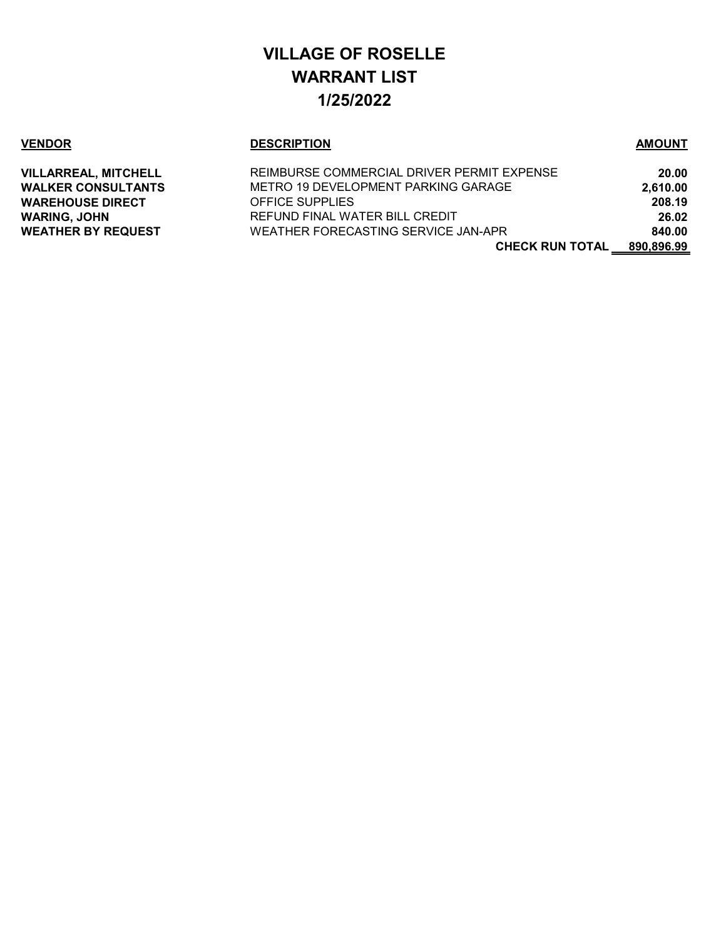# **VILLAGE OF ROSELLE WARRANT LIST 1/25/2022**

## **VENDOR DESCRIPTION AMOUNT**

| <b>VILLARREAL, MITCHELL</b> | REIMBURSE COMMERCIAL DRIVER PERMIT EXPENSE | 20.00      |
|-----------------------------|--------------------------------------------|------------|
| WALKER CONSULTANTS          | METRO 19 DEVELOPMENT PARKING GARAGE        | 2,610.00   |
| <b>WAREHOUSE DIRECT</b>     | <b>OFFICE SUPPLIES</b>                     | 208.19     |
| WARING, JOHN                | REFUND FINAL WATER BILL CREDIT             | 26.02      |
| <b>WEATHER BY REQUEST</b>   | WEATHER FORECASTING SERVICE JAN-APR        | 840.00     |
|                             | <b>CHECK RUN TOTAL</b>                     | 890.896.99 |